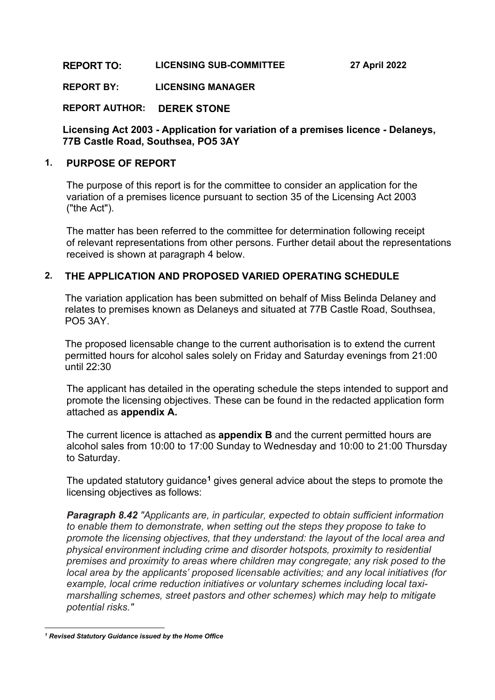#### **REPORT TO: LICENSING SUB-COMMITTEE 27 April 2022**

**REPORT BY: LICENSING MANAGER**

**REPORT AUTHOR: DEREK STONE**

#### **Licensing Act 2003 - Application for variation of a premises licence - Delaneys, 77B Castle Road, Southsea, PO5 3AY**

#### **1. PURPOSE OF REPORT**

The purpose of this report is for the committee to consider an application for the variation of a premises licence pursuant to section 35 of the Licensing Act 2003 ("the Act").

The matter has been referred to the committee for determination following receipt of relevant representations from other persons. Further detail about the representations received is shown at paragraph 4 below.

### **2. THE APPLICATION AND PROPOSED VARIED OPERATING SCHEDULE**

The variation application has been submitted on behalf of Miss Belinda Delaney and relates to premises known as Delaneys and situated at 77B Castle Road, Southsea, PO5 3AY.

The proposed licensable change to the current authorisation is to extend the current permitted hours for alcohol sales solely on Friday and Saturday evenings from 21:00 until 22:30

The applicant has detailed in the operating schedule the steps intended to support and promote the licensing objectives. These can be found in the redacted application form attached as **appendix A.**

The current licence is attached as **appendix B** and the current permitted hours are alcohol sales from 10:00 to 17:00 Sunday to Wednesday and 10:00 to 21:00 Thursday to Saturday.

The updated statutory guidance**[1](#page-0-0)** gives general advice about the steps to promote the licensing objectives as follows:

*Paragraph 8.42 "Applicants are, in particular, expected to obtain sufficient information to enable them to demonstrate, when setting out the steps they propose to take to promote the licensing objectives, that they understand: the layout of the local area and physical environment including crime and disorder hotspots, proximity to residential premises and proximity to areas where children may congregate; any risk posed to the local area by the applicants' proposed licensable activities; and any local initiatives (for example, local crime reduction initiatives or voluntary schemes including local taximarshalling schemes, street pastors and other schemes) which may help to mitigate potential risks."*

<span id="page-0-0"></span>*<sup>1</sup> Revised Statutory Guidance issued by the Home Office*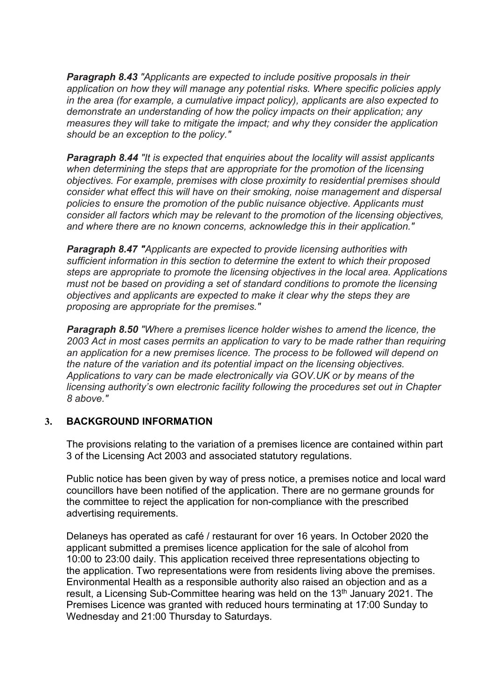*Paragraph 8.43 "Applicants are expected to include positive proposals in their application on how they will manage any potential risks. Where specific policies apply in the area (for example, a cumulative impact policy), applicants are also expected to demonstrate an understanding of how the policy impacts on their application; any measures they will take to mitigate the impact; and why they consider the application should be an exception to the policy."*

*Paragraph 8.44 "It is expected that enquiries about the locality will assist applicants when determining the steps that are appropriate for the promotion of the licensing objectives. For example, premises with close proximity to residential premises should consider what effect this will have on their smoking, noise management and dispersal policies to ensure the promotion of the public nuisance objective. Applicants must consider all factors which may be relevant to the promotion of the licensing objectives, and where there are no known concerns, acknowledge this in their application."*

*Paragraph 8.47 "Applicants are expected to provide licensing authorities with sufficient information in this section to determine the extent to which their proposed steps are appropriate to promote the licensing objectives in the local area. Applications must not be based on providing a set of standard conditions to promote the licensing objectives and applicants are expected to make it clear why the steps they are proposing are appropriate for the premises."*

*Paragraph 8.50 "Where a premises licence holder wishes to amend the licence, the 2003 Act in most cases permits an application to vary to be made rather than requiring an application for a new premises licence. The process to be followed will depend on the nature of the variation and its potential impact on the licensing objectives. Applications to vary can be made electronically via GOV.UK or by means of the licensing authority's own electronic facility following the procedures set out in Chapter 8 above."*

#### **3. BACKGROUND INFORMATION**

The provisions relating to the variation of a premises licence are contained within part 3 of the Licensing Act 2003 and associated statutory regulations.

Public notice has been given by way of press notice, a premises notice and local ward councillors have been notified of the application. There are no germane grounds for the committee to reject the application for non-compliance with the prescribed advertising requirements.

Delaneys has operated as café / restaurant for over 16 years. In October 2020 the applicant submitted a premises licence application for the sale of alcohol from 10:00 to 23:00 daily. This application received three representations objecting to the application. Two representations were from residents living above the premises. Environmental Health as a responsible authority also raised an objection and as a result, a Licensing Sub-Committee hearing was held on the 13<sup>th</sup> January 2021. The Premises Licence was granted with reduced hours terminating at 17:00 Sunday to Wednesday and 21:00 Thursday to Saturdays.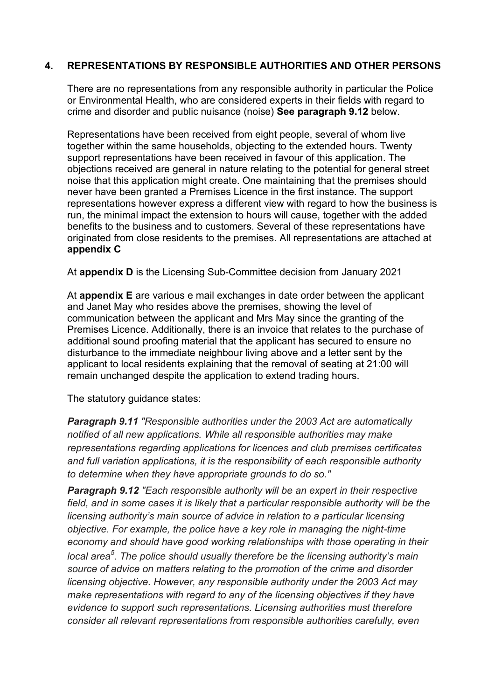### **4. REPRESENTATIONS BY RESPONSIBLE AUTHORITIES AND OTHER PERSONS**

There are no representations from any responsible authority in particular the Police or Environmental Health, who are considered experts in their fields with regard to crime and disorder and public nuisance (noise) **See paragraph 9.12** below.

Representations have been received from eight people, several of whom live together within the same households, objecting to the extended hours. Twenty support representations have been received in favour of this application. The objections received are general in nature relating to the potential for general street noise that this application might create. One maintaining that the premises should never have been granted a Premises Licence in the first instance. The support representations however express a different view with regard to how the business is run, the minimal impact the extension to hours will cause, together with the added benefits to the business and to customers. Several of these representations have originated from close residents to the premises. All representations are attached at **appendix C**

At **appendix D** is the Licensing Sub-Committee decision from January 2021

At **appendix E** are various e mail exchanges in date order between the applicant and Janet May who resides above the premises, showing the level of communication between the applicant and Mrs May since the granting of the Premises Licence. Additionally, there is an invoice that relates to the purchase of additional sound proofing material that the applicant has secured to ensure no disturbance to the immediate neighbour living above and a letter sent by the applicant to local residents explaining that the removal of seating at 21:00 will remain unchanged despite the application to extend trading hours.

The statutory guidance states:

*Paragraph 9.11 "Responsible authorities under the 2003 Act are automatically notified of all new applications. While all responsible authorities may make representations regarding applications for licences and club premises certificates and full variation applications, it is the responsibility of each responsible authority to determine when they have appropriate grounds to do so."*

*Paragraph 9.12 "Each responsible authority will be an expert in their respective field, and in some cases it is likely that a particular responsible authority will be the licensing authority's main source of advice in relation to a particular licensing objective. For example, the police have a key role in managing the night-time economy and should have good working relationships with those operating in their local area<sup>5</sup> . The police should usually therefore be the licensing authority's main source of advice on matters relating to the promotion of the crime and disorder licensing objective. However, any responsible authority under the 2003 Act may make representations with regard to any of the licensing objectives if they have evidence to support such representations. Licensing authorities must therefore consider all relevant representations from responsible authorities carefully, even*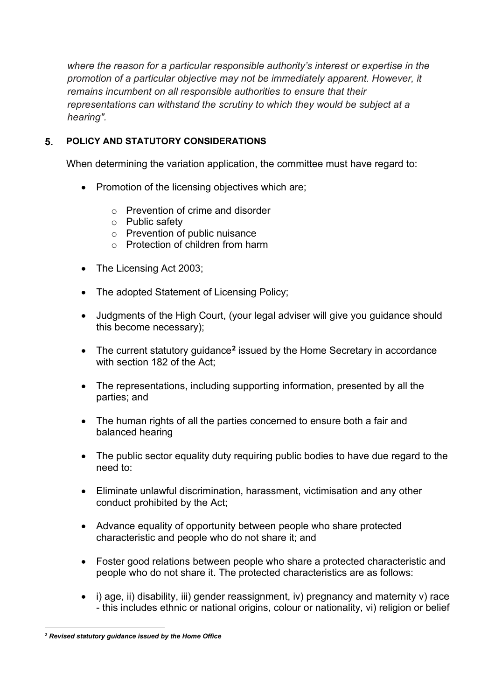*where the reason for a particular responsible authority's interest or expertise in the promotion of a particular objective may not be immediately apparent. However, it remains incumbent on all responsible authorities to ensure that their representations can withstand the scrutiny to which they would be subject at a hearing".*

# **5. POLICY AND STATUTORY CONSIDERATIONS**

When determining the variation application, the committee must have regard to:

- Promotion of the licensing objectives which are;
	- o Prevention of crime and disorder
	- o Public safety
	- o Prevention of public nuisance
	- $\circ$  Protection of children from harm
- The Licensing Act 2003;
- The adopted Statement of Licensing Policy;
- Judgments of the High Court, (your legal adviser will give you guidance should this become necessary);
- The current statutory guidance**[2](#page-3-0)** issued by the Home Secretary in accordance with section 182 of the Act;
- The representations, including supporting information, presented by all the parties; and
- The human rights of all the parties concerned to ensure both a fair and balanced hearing
- The public sector equality duty requiring public bodies to have due regard to the need to:
- Eliminate unlawful discrimination, harassment, victimisation and any other conduct prohibited by the Act;
- Advance equality of opportunity between people who share protected characteristic and people who do not share it; and
- Foster good relations between people who share a protected characteristic and people who do not share it. The protected characteristics are as follows:
- i) age, ii) disability, iii) gender reassignment, iv) pregnancy and maternity y) race - this includes ethnic or national origins, colour or nationality, vi) religion or belief

<span id="page-3-0"></span>*<sup>2</sup> Revised statutory guidance issued by the Home Office*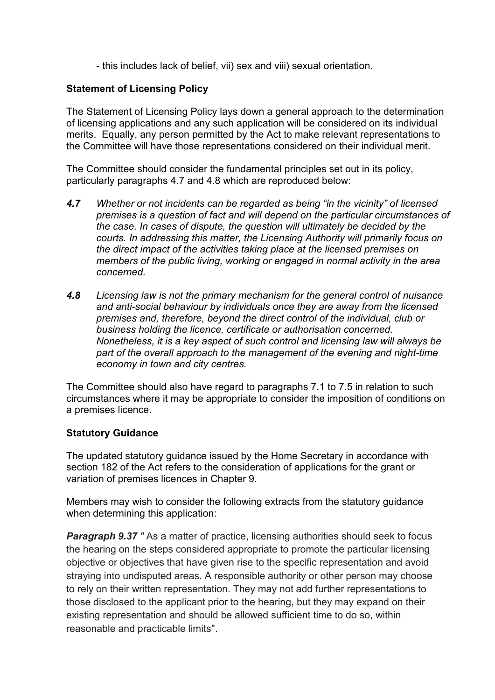- this includes lack of belief, vii) sex and viii) sexual orientation.

## **Statement of Licensing Policy**

The Statement of Licensing Policy lays down a general approach to the determination of licensing applications and any such application will be considered on its individual merits. Equally, any person permitted by the Act to make relevant representations to the Committee will have those representations considered on their individual merit.

The Committee should consider the fundamental principles set out in its policy, particularly paragraphs 4.7 and 4.8 which are reproduced below:

- *4.7 Whether or not incidents can be regarded as being "in the vicinity" of licensed premises is a question of fact and will depend on the particular circumstances of the case. In cases of dispute, the question will ultimately be decided by the courts. In addressing this matter, the Licensing Authority will primarily focus on the direct impact of the activities taking place at the licensed premises on members of the public living, working or engaged in normal activity in the area concerned.*
- *4.8 Licensing law is not the primary mechanism for the general control of nuisance and anti-social behaviour by individuals once they are away from the licensed premises and, therefore, beyond the direct control of the individual, club or business holding the licence, certificate or authorisation concerned. Nonetheless, it is a key aspect of such control and licensing law will always be part of the overall approach to the management of the evening and night-time economy in town and city centres.*

The Committee should also have regard to paragraphs 7.1 to 7.5 in relation to such circumstances where it may be appropriate to consider the imposition of conditions on a premises licence.

## **Statutory Guidance**

The updated statutory guidance issued by the Home Secretary in accordance with section 182 of the Act refers to the consideration of applications for the grant or variation of premises licences in Chapter 9.

Members may wish to consider the following extracts from the statutory guidance when determining this application:

**Paragraph 9.37** " As a matter of practice, licensing authorities should seek to focus the hearing on the steps considered appropriate to promote the particular licensing objective or objectives that have given rise to the specific representation and avoid straying into undisputed areas. A responsible authority or other person may choose to rely on their written representation. They may not add further representations to those disclosed to the applicant prior to the hearing, but they may expand on their existing representation and should be allowed sufficient time to do so, within reasonable and practicable limits".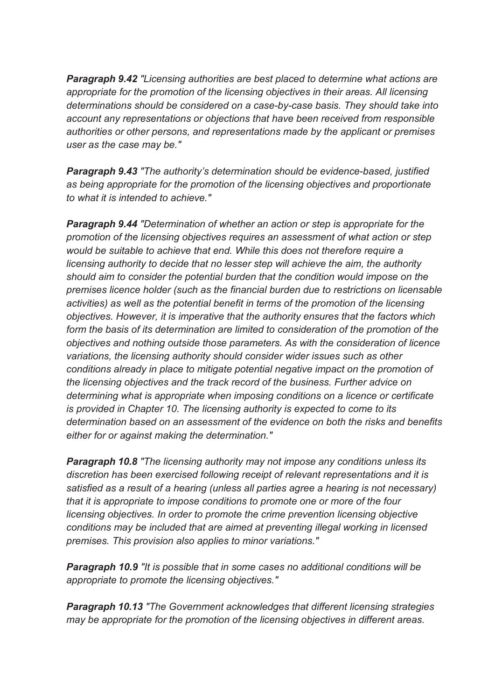*Paragraph 9.42 "Licensing authorities are best placed to determine what actions are appropriate for the promotion of the licensing objectives in their areas. All licensing determinations should be considered on a case-by-case basis. They should take into account any representations or objections that have been received from responsible authorities or other persons, and representations made by the applicant or premises user as the case may be."*

*Paragraph 9.43 "The authority's determination should be evidence-based, justified as being appropriate for the promotion of the licensing objectives and proportionate to what it is intended to achieve."*

*Paragraph 9.44 "Determination of whether an action or step is appropriate for the promotion of the licensing objectives requires an assessment of what action or step would be suitable to achieve that end. While this does not therefore require a licensing authority to decide that no lesser step will achieve the aim, the authority should aim to consider the potential burden that the condition would impose on the premises licence holder (such as the financial burden due to restrictions on licensable activities) as well as the potential benefit in terms of the promotion of the licensing objectives. However, it is imperative that the authority ensures that the factors which form the basis of its determination are limited to consideration of the promotion of the objectives and nothing outside those parameters. As with the consideration of licence variations, the licensing authority should consider wider issues such as other conditions already in place to mitigate potential negative impact on the promotion of the licensing objectives and the track record of the business. Further advice on determining what is appropriate when imposing conditions on a licence or certificate is provided in Chapter 10. The licensing authority is expected to come to its determination based on an assessment of the evidence on both the risks and benefits either for or against making the determination."*

*Paragraph 10.8 "The licensing authority may not impose any conditions unless its discretion has been exercised following receipt of relevant representations and it is satisfied as a result of a hearing (unless all parties agree a hearing is not necessary) that it is appropriate to impose conditions to promote one or more of the four licensing objectives. In order to promote the crime prevention licensing objective conditions may be included that are aimed at preventing illegal working in licensed premises. This provision also applies to minor variations."*

*Paragraph 10.9 "It is possible that in some cases no additional conditions will be appropriate to promote the licensing objectives."*

*Paragraph 10.13 "The Government acknowledges that different licensing strategies may be appropriate for the promotion of the licensing objectives in different areas.*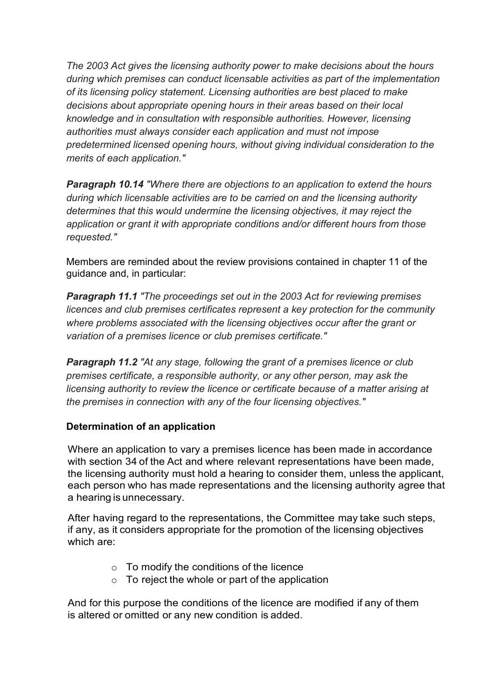*The 2003 Act gives the licensing authority power to make decisions about the hours during which premises can conduct licensable activities as part of the implementation of its licensing policy statement. Licensing authorities are best placed to make decisions about appropriate opening hours in their areas based on their local knowledge and in consultation with responsible authorities. However, licensing authorities must always consider each application and must not impose predetermined licensed opening hours, without giving individual consideration to the merits of each application."*

*Paragraph 10.14 "Where there are objections to an application to extend the hours during which licensable activities are to be carried on and the licensing authority determines that this would undermine the licensing objectives, it may reject the application or grant it with appropriate conditions and/or different hours from those requested."*

Members are reminded about the review provisions contained in chapter 11 of the guidance and, in particular:

*Paragraph 11.1 "The proceedings set out in the 2003 Act for reviewing premises licences and club premises certificates represent a key protection for the community where problems associated with the licensing objectives occur after the grant or variation of a premises licence or club premises certificate."*

*Paragraph 11.2 "At any stage, following the grant of a premises licence or club premises certificate, a responsible authority, or any other person, may ask the licensing authority to review the licence or certificate because of a matter arising at the premises in connection with any of the four licensing objectives."*

## **Determination of an application**

Where an application to vary a premises licence has been made in accordance with section 34 of the Act and where relevant representations have been made, the licensing authority must hold a hearing to consider them, unless the applicant, each person who has made representations and the licensing authority agree that a hearing is unnecessary.

After having regard to the representations, the Committee may take such steps, if any, as it considers appropriate for the promotion of the licensing objectives which are:

- $\circ$  To modify the conditions of the licence
- $\circ$  To reject the whole or part of the application

And for this purpose the conditions of the licence are modified if any of them is altered or omitted or any new condition is added.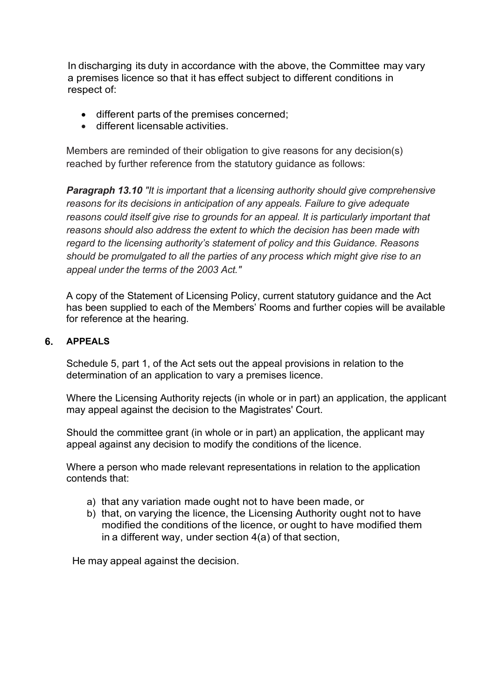In discharging its duty in accordance with the above, the Committee may vary a premises licence so that it has effect subject to different conditions in respect of:

- different parts of the premises concerned;
- different licensable activities.

Members are reminded of their obligation to give reasons for any decision(s) reached by further reference from the statutory guidance as follows:

*Paragraph 13.10 "It is important that a licensing authority should give comprehensive reasons for its decisions in anticipation of any appeals. Failure to give adequate reasons could itself give rise to grounds for an appeal. It is particularly important that reasons should also address the extent to which the decision has been made with regard to the licensing authority's statement of policy and this Guidance. Reasons should be promulgated to all the parties of any process which might give rise to an appeal under the terms of the 2003 Act."*

A copy of the Statement of Licensing Policy, current statutory guidance and the Act has been supplied to each of the Members' Rooms and further copies will be available for reference at the hearing.

#### **6. APPEALS**

Schedule 5, part 1, of the Act sets out the appeal provisions in relation to the determination of an application to vary a premises licence.

Where the Licensing Authority rejects (in whole or in part) an application, the applicant may appeal against the decision to the Magistrates' Court.

Should the committee grant (in whole or in part) an application, the applicant may appeal against any decision to modify the conditions of the licence.

Where a person who made relevant representations in relation to the application contends that:

- a) that any variation made ought not to have been made, or
- b) that, on varying the licence, the Licensing Authority ought not to have modified the conditions of the licence, or ought to have modified them in a different way, under section 4(a) of that section,

He may appeal against the decision.